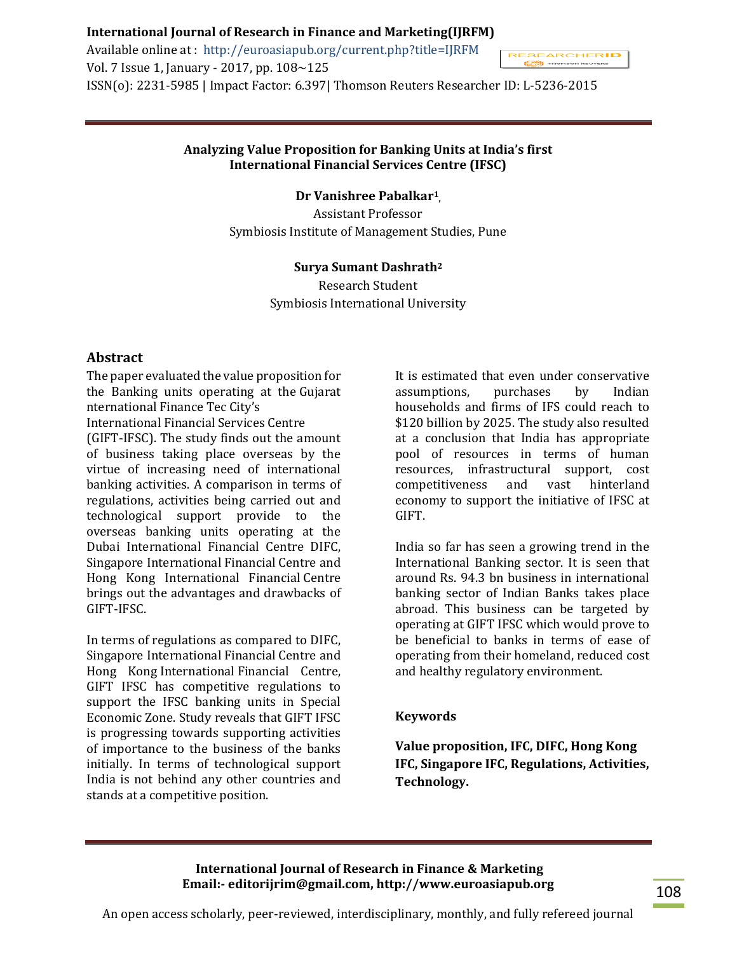Available online at : http://euroasiapub.org/current.php?title=IJRFM Vol. 7 Issue 1, January - 2017, pp. 108~125 ISSN(o): 2231-5985 | Impact Factor: 6.397| Thomson Reuters Researcher ID: L-5236-2015



# **Analyzing Value Proposition for Banking Units at India's first International Financial Services Centre (IFSC)**

**Dr Vanishree Pabalkar<sup>1</sup> ,**

Assistant Professor Symbiosis Institute of Management Studies, Pune

#### **Surya Sumant Dashrath<sup>2</sup>**

Research Student Symbiosis International University

## **Abstract**

The paper evaluated the value proposition for the Banking units operating at the Gujarat nternational Finance Tec City's International Financial Services Centre (GIFT-IFSC). The study finds out the amount of business taking place overseas by the virtue of increasing need of international banking activities. A comparison in terms of regulations, activities being carried out and technological support provide to the overseas banking units operating at the Dubai International Financial Centre DIFC, Singapore International Financial Centre and Hong Kong International Financial Centre brings out the advantages and drawbacks of GIFT-IFSC.

In terms of regulations as compared to DIFC, Singapore International Financial Centre and Hong Kong International Financial Centre, GIFT IFSC has competitive regulations to support the IFSC banking units in Special Economic Zone. Study reveals that GIFT IFSC is progressing towards supporting activities of importance to the business of the banks initially. In terms of technological support India is not behind any other countries and stands at a competitive position.

It is estimated that even under conservative assumptions, purchases by Indian households and firms of IFS could reach to \$120 billion by 2025. The study also resulted at a conclusion that India has appropriate pool of resources in terms of human resources, infrastructural support, cost competitiveness and vast hinterland economy to support the initiative of IFSC at GIFT.

India so far has seen a growing trend in the International Banking sector. It is seen that around Rs. 94.3 bn business in international banking sector of Indian Banks takes place abroad. This business can be targeted by operating at GIFT IFSC which would prove to be beneficial to banks in terms of ease of operating from their homeland, reduced cost and healthy regulatory environment.

#### **Keywords**

**Value proposition, IFC, DIFC, Hong Kong IFC, Singapore IFC, Regulations, Activities, Technology.**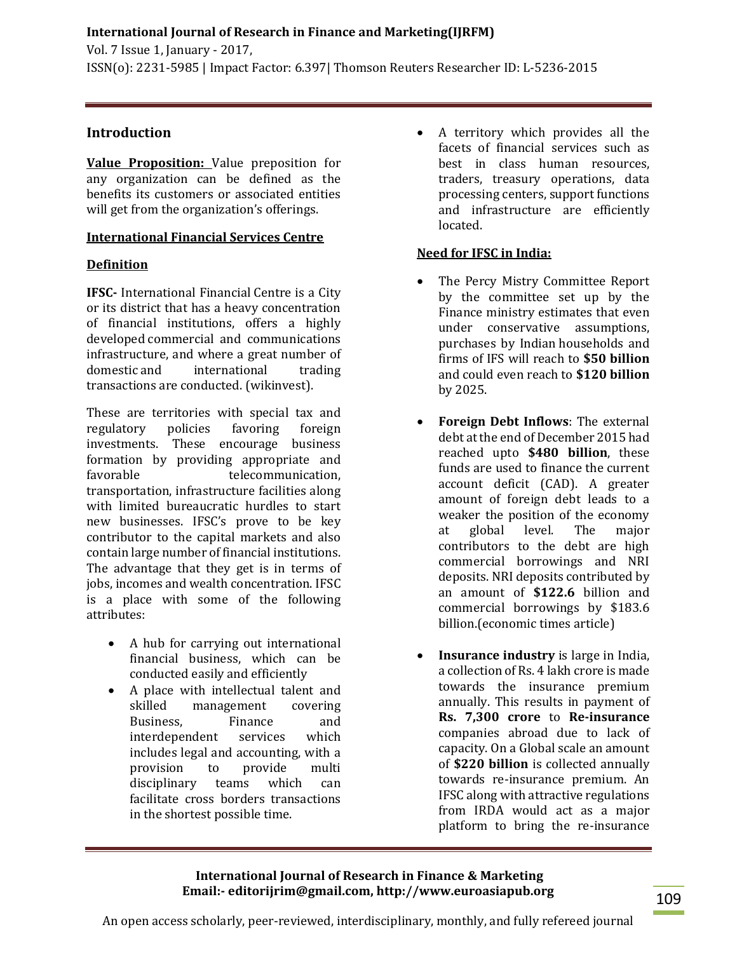# **Introduction**

**Value Proposition:** Value preposition for any organization can be defined as the benefits its customers or associated entities will get from the organization's offerings.

# **International Financial Services Centre**

# **Definition**

**IFSC-** International Financial Centre is a City or its district that has a heavy concentration of financial institutions, offers a highly developed commercial and communications infrastructure, and where a great number of domestic and international trading transactions are conducted. (wikinvest).

These are territories with special tax and regulatory policies favoring foreign investments. These encourage business formation by providing appropriate and favorable telecommunication, transportation, infrastructure facilities along with limited bureaucratic hurdles to start new businesses. IFSC's prove to be key contributor to the capital markets and also contain large number of financial institutions. The advantage that they get is in terms of jobs, incomes and wealth concentration. IFSC is a place with some of the following attributes:

- A hub for carrying out international financial business, which can be conducted easily and efficiently
- A place with intellectual talent and skilled management covering Business, Finance and interdependent services which includes legal and accounting, with a provision to provide multi disciplinary teams which can facilitate cross borders transactions in the shortest possible time.

 A territory which provides all the facets of financial services such as best in class human resources, traders, treasury operations, data processing centers, support functions and infrastructure are efficiently located.

# **Need for IFSC in India:**

- The Percy Mistry Committee Report by the committee set up by the Finance ministry estimates that even under conservative assumptions, purchases by Indian households and firms of IFS will reach to **\$50 billion** and could even reach to **\$120 billion** by 2025.
- **Foreign Debt Inflows**: The external debt at the end of December 2015 had reached upto **\$480 billion**, these funds are used to finance the current account deficit (CAD). A greater amount of foreign debt leads to a weaker the position of the economy at global level. The major contributors to the debt are high commercial borrowings and NRI deposits. NRI deposits contributed by an amount of **\$122.6** billion and commercial borrowings by \$183.6 billion.(economic times article)
- **Insurance industry** is large in India, a collection of Rs. 4 lakh crore is made towards the insurance premium annually. This results in payment of **Rs. 7,300 crore** to **Re-insurance** companies abroad due to lack of capacity. On a Global scale an amount of **\$220 billion** is collected annually towards re-insurance premium. An IFSC along with attractive regulations from IRDA would act as a major platform to bring the re-insurance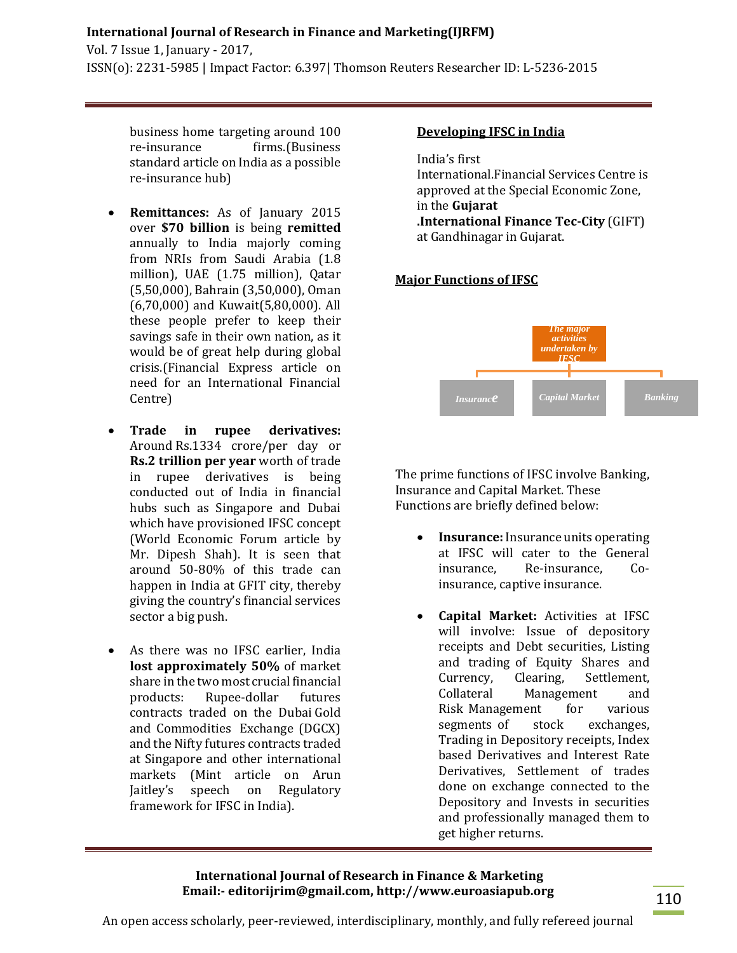Vol. 7 Issue 1, January - 2017, ISSN(o): 2231-5985 | Impact Factor: 6.397| Thomson Reuters Researcher ID: L-5236-2015

business home targeting around 100 re-insurance firms.(Business standard article on India as a possible re-insurance hub)

- **Remittances:** As of January 2015 over **\$70 billion** is being **remitted** annually to India majorly coming from NRIs from Saudi Arabia (1.8 million), UAE (1.75 million), Qatar (5,50,000), Bahrain (3,50,000), Oman (6,70,000) and Kuwait(5,80,000). All these people prefer to keep their savings safe in their own nation, as it would be of great help during global crisis.(Financial Express article on need for an International Financial Centre)
- **Trade in rupee derivatives:** Around [Rs.1334 crore/per day or](http://www.livemint.com/Politics/BDqGgDtAUckXCW1Xk1DRQM/Arun-Jaitley-unveils-IFSC-at-GIFT-City-law-to-be-drafted-so.html)  **[Rs.2 trillion per year](http://www.livemint.com/Politics/BDqGgDtAUckXCW1Xk1DRQM/Arun-Jaitley-unveils-IFSC-at-GIFT-City-law-to-be-drafted-so.html)** worth of trade in rupee derivatives is being conducted out of India in financial hubs such as Singapore and Dubai which have provisioned IFSC concept (World Economic Forum article by Mr. Dipesh Shah). It is seen that around 50-80% of this trade can happen in India at GFIT city, thereby giving the country's financial services sector a big push.
- As there was no IFSC earlier, India **lost approximately 50%** of market share in the two most crucial financial products: Rupee-dollar futures contracts traded on the Dubai Gold and Commodities. Exchange (DGCX) and the Nifty futures contracts traded at Singapore and other international markets (Mint article on Arun Jaitley's speech on Regulatory framework for IFSC in India).

# **Developing IFSC in India**

India's first International.Financial.Services Centre is approved at the Special Economic Zone, in the **Gujarat .International.Finance.Tec-City** (GIFT) at Gandhinagar in Gujarat.

## **Major Functions of IFSC**



The prime functions of IFSC involve Banking, Insurance and Capital Market. These Functions are briefly defined below:

- **Insurance:** Insurance units operating at IFSC will cater to the General insurance, Re-insurance, Coinsurance, captive insurance.
- **Capital Market:** Activities at IFSC will involve: Issue of depository receipts and Debt securities, Listing and trading of Equity Shares and Currency, Clearing, Settlement, Collateral Management and Risk Management for various segments of stock exchanges, Trading in Depository receipts, Index based Derivatives and Interest Rate Derivatives, Settlement of trades done on exchange connected to the Depository and Invests in securities and professionally managed them to get higher returns.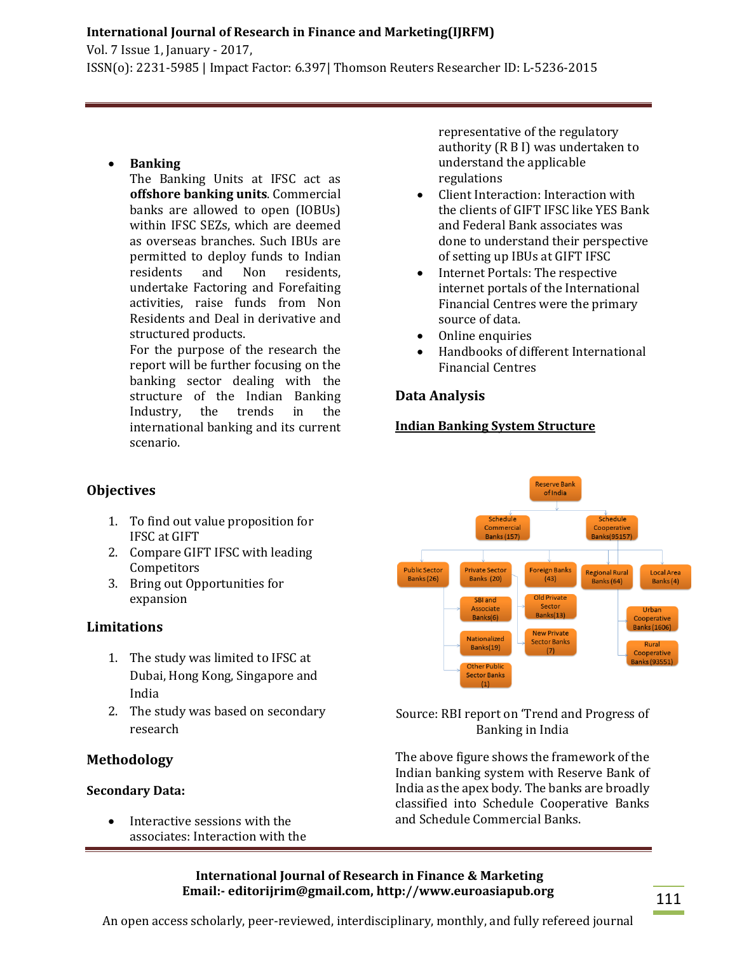Vol. 7 Issue 1, January - 2017, ISSN(o): 2231-5985 | Impact Factor: 6.397| Thomson Reuters Researcher ID: L-5236-2015

# **Banking**

The Banking Units at IFSC act as **offshore banking units**. Commercial banks are allowed to open (IOBUs) within IFSC SEZs, which are deemed as overseas branches. Such IBUs are permitted to deploy funds to Indian residents and Non residents, undertake Factoring and Forefaiting activities, raise funds from Non Residents and Deal in derivative and structured products. For the purpose of the research the

report will be further focusing on the banking sector dealing with the structure of the Indian Banking Industry, the trends in the international banking and its current scenario.

representative of the regulatory authority (R B I) was undertaken to understand the applicable regulations

- Client Interaction: Interaction with the clients of GIFT IFSC like YES Bank and Federal Bank associates was done to understand their perspective of setting up IBUs at GIFT IFSC
- Internet Portals: The respective internet portals of the International Financial Centres were the primary source of data.
- Online enquiries
- Handbooks of different International Financial Centres

# **Data Analysis**

# **Indian Banking System Structure**



- 1. To find out value proposition for IFSC at GIFT
- 2. Compare GIFT IFSC with leading Competitors
- 3. Bring out Opportunities for expansion

# **Limitations**

- 1. The study was limited to IFSC at Dubai, Hong Kong, Singapore and India
- 2. The study was based on secondary research

# **Methodology**

# **Secondary Data:**

 Interactive sessions with the associates: Interaction with the



# Source: RBI report on 'Trend and Progress of Banking in India

The above figure shows the framework of the Indian banking system with Reserve Bank of India as the apex body. The banks are broadly classified into Schedule Cooperative Banks and Schedule Commercial Banks.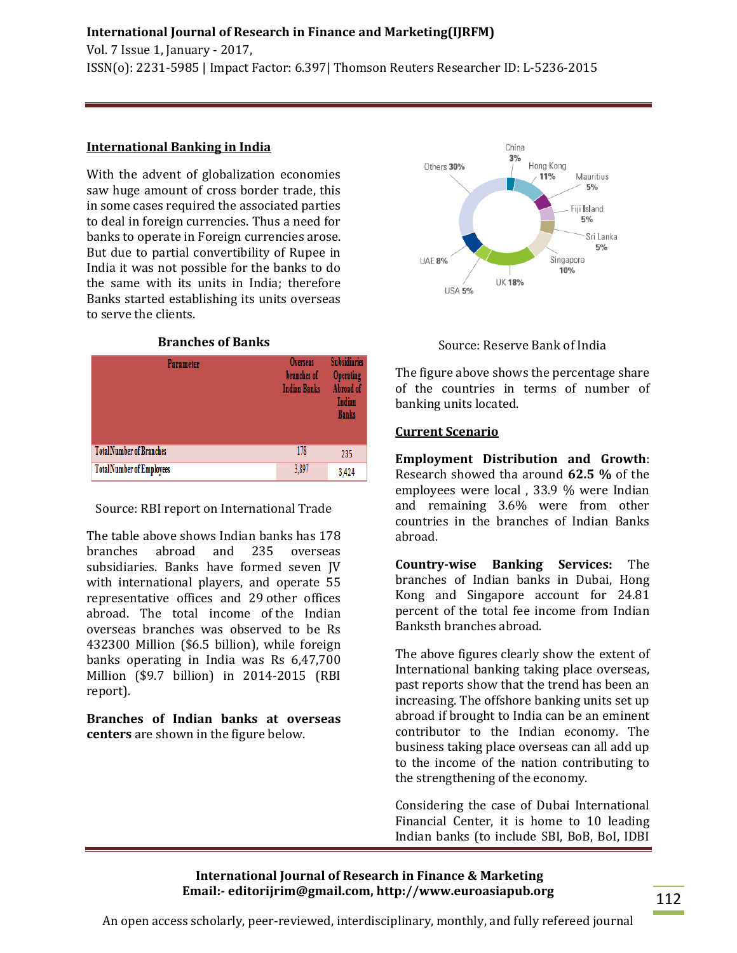Vol. 7 Issue 1, January - 2017, ISSN(o): 2231-5985 | Impact Factor: 6.397| Thomson Reuters Researcher ID: L-5236-2015

## **International Banking in India**

With the advent of globalization economies saw huge amount of cross border trade, this in some cases required the associated parties to deal in foreign currencies. Thus a need for banks to operate in Foreign currencies arose. But due to partial convertibility of Rupee in India it was not possible for the banks to do the same with its units in India; therefore Banks started establishing its units overseas to serve the clients.

#### **Branches of Banks**

| Parameter                        | <b>Overseas</b><br>branches of<br><b>Indian Banks</b> | <b>Subsidiaries</b><br><b>Operating</b><br>Abroad of<br>Indian<br><b>Banks</b> |
|----------------------------------|-------------------------------------------------------|--------------------------------------------------------------------------------|
| <b>TotalNumber of Branches</b>   | 178                                                   | 235                                                                            |
| <b>Total Number of Employees</b> | 3,897                                                 | 3,424                                                                          |

Source: RBI report on International Trade

The table above shows Indian banks has 178 branches abroad and 235 overseas subsidiaries. Banks have formed seven JV with international players, and operate 55 representative offices and 29.other offices abroad. The total income of the Indian overseas branches was observed to be Rs 432300 Million (\$6.5 billion), while foreign banks operating in India was Rs 6,47,700 Million (\$9.7 billion) in 2014-2015 (RBI report).

**Branches of Indian banks at overseas centers** are shown in the figure below.





The figure above shows the percentage share of the countries in terms of number of banking units located.

#### **Current Scenario**

**Employment Distribution and Growth**: Research showed tha around **62.5 %** of the employees were local , 33.9 % were Indian and remaining 3.6% were from other countries in the branches of Indian Banks abroad.

**Country-wise Banking Services:** The branches of Indian banks in Dubai, Hong Kong and Singapore account for 24.81 percent of the total fee income from Indian Banksth branches abroad.

The above figures clearly show the extent of International banking taking place overseas, past reports show that the trend has been an increasing. The offshore banking units set up abroad if brought to India can be an eminent contributor to the Indian economy. The business taking place overseas can all add up to the income of the nation contributing to the strengthening of the economy.

Considering the case of Dubai International Financial Center, it is home to 10 leading Indian banks (to include SBI, BoB, BoI, IDBI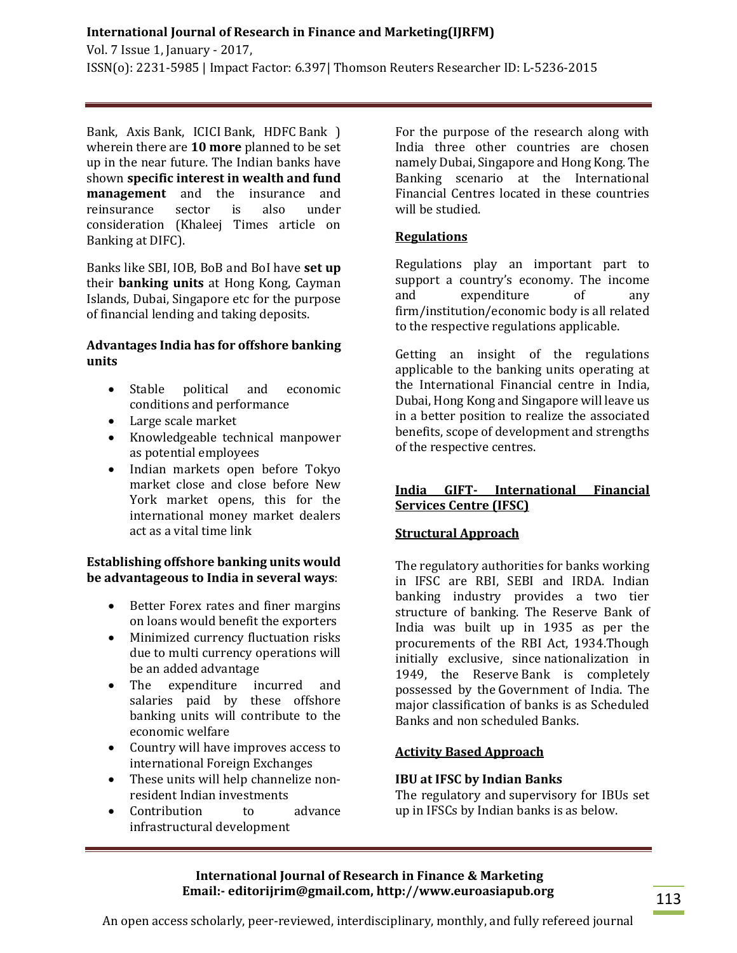Vol. 7 Issue 1, January - 2017, ISSN(o): 2231-5985 | Impact Factor: 6.397| Thomson Reuters Researcher ID: L-5236-2015

Bank, Axis Bank, ICICI Bank, HDFC Bank ) wherein there are **10 more** planned to be set up in the near future. The Indian banks have shown **specific interest in wealth and fund management** and the insurance and reinsurance sector is also under consideration (Khaleej Times article on Banking at DIFC).

Banks like SBI, IOB, BoB and BoI have **set up** their **banking units** at Hong Kong, Cayman Islands, Dubai, Singapore etc for the purpose of financial lending and taking deposits.

# **Advantages India has for offshore banking units**

- Stable political and economic conditions and performance
- Large scale market
- Knowledgeable technical manpower as potential employees
- Indian markets open before Tokyo market close and close before New York market opens, this for the international money market dealers act as a vital time link

## **Establishing offshore banking units would be advantageous to India in several ways**:

- Better Forex rates and finer margins on loans would benefit the exporters
- Minimized currency fluctuation risks due to multi currency operations will be an added advantage
- The expenditure incurred and salaries paid by these offshore banking units will contribute to the economic welfare
- Country will have improves access to international Foreign Exchanges
- These units will help channelize nonresident Indian investments
- Contribution to advance infrastructural development

For the purpose of the research along with India three other countries are chosen namely Dubai, Singapore and Hong Kong. The Banking scenario at the International Financial Centres located in these countries will be studied.

# **Regulations**

Regulations play an important part to support a country's economy. The income and expenditure of any firm/institution/economic body is all related to the respective regulations applicable.

Getting an insight of the regulations applicable to the banking units operating at the International Financial centre in India, Dubai, Hong Kong and Singapore will leave us in a better position to realize the associated benefits, scope of development and strengths of the respective centres.

# **India GIFT- International Financial Services Centre (IFSC)**

# **Structural Approach**

The regulatory authorities for banks working in IFSC are RBI, SEBI and IRDA. Indian banking industry provides a two tier structure of banking. The Reserve Bank of India was built up in 1935 as per the procurements of the RBI Act, 1934.Though initially exclusive, since nationalization in 1949, the Reserve-Bank is completely possessed by the Government of India. The major classification of banks is as Scheduled Banks and non scheduled Banks.

# **Activity Based Approach**

# **IBU at IFSC by Indian Banks**

The regulatory and supervisory for IBUs set up in IFSCs by Indian banks is as below.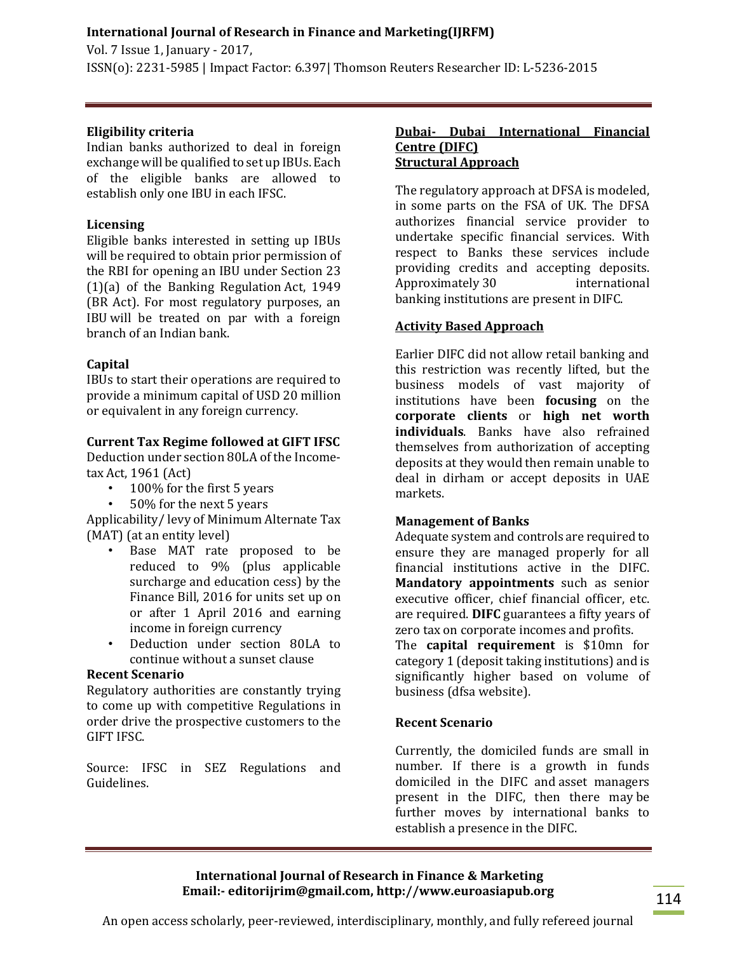Vol. 7 Issue 1, January - 2017, ISSN(o): 2231-5985 | Impact Factor: 6.397| Thomson Reuters Researcher ID: L-5236-2015

# **Eligibility criteria**

Indian banks authorized to deal in foreign exchange will be qualified to set up IBUs. Each of the eligible banks are allowed to establish only one IBU in each IFSC.

# **Licensing**

Eligible banks interested in setting up IBUs will be required to obtain prior permission of the RBI for opening an IBU under Section 23  $(1)(a)$  of the Banking Regulation Act, 1949 (BR Act). For most regulatory purposes, an IBU will be treated on par with a foreign branch of an Indian bank.

# **Capital**

IBUs to start their operations are required to provide a minimum capital of USD 20 million or equivalent in any foreign currency.

## **Current Tax Regime followed at GIFT IFSC**

Deduction under section 80LA of the Incometax.Act, 1961 (Act)

- 100% for the first 5 years
- 50% for the next 5 years

Applicability/ levy of Minimum Alternate Tax (MAT) (at an entity level)

- Base MAT rate proposed to be reduced to 9% (plus applicable surcharge and education cess) by the Finance Bill, 2016 for units set up on or after 1 April 2016 and earning income in foreign currency
- Deduction under section 80LA to continue without a sunset clause

# **Recent Scenario**

Regulatory authorities are constantly trying to come up with competitive Regulations in order drive the prospective customers to the GIFT IFSC.

Source: IFSC in SEZ Regulations and Guidelines.

#### **Dubai- Dubai International Financial Centre (DIFC) Structural Approach**

The regulatory approach at DFSA is modeled, in some parts on the FSA of UK. The DFSA authorizes financial service provider to undertake specific financial services. With respect to Banks these services include providing credits and accepting deposits. Approximately.30 international banking institutions are present in DIFC.

## **Activity Based Approach**

Earlier DIFC did not allow retail banking and this restriction was recently lifted, but the business models of vast majority of institutions have been **focusing** on the **corporate clients** or **high net worth individuals**. Banks have also refrained themselves from authorization of accepting deposits at they would then remain unable to deal in dirham or accept deposits in UAE markets.

#### **Management of Banks**

Adequate system and controls are required to ensure they are managed properly for all financial institutions active in the DIFC. **Mandatory appointments** such as senior executive officer, chief financial officer, etc. are required. **DIFC** guarantees a fifty years of zero tax on corporate incomes and profits.

The **capital requirement** is \$10mn for category 1 (deposit taking institutions) and is significantly higher based on volume of business (dfsa website).

# **Recent Scenario**

Currently, the domiciled funds are small in number. If there is a growth in funds domiciled in the DIFC and asset managers present in the DIFC, then there may be further moves by international banks to establish a presence in the DIFC.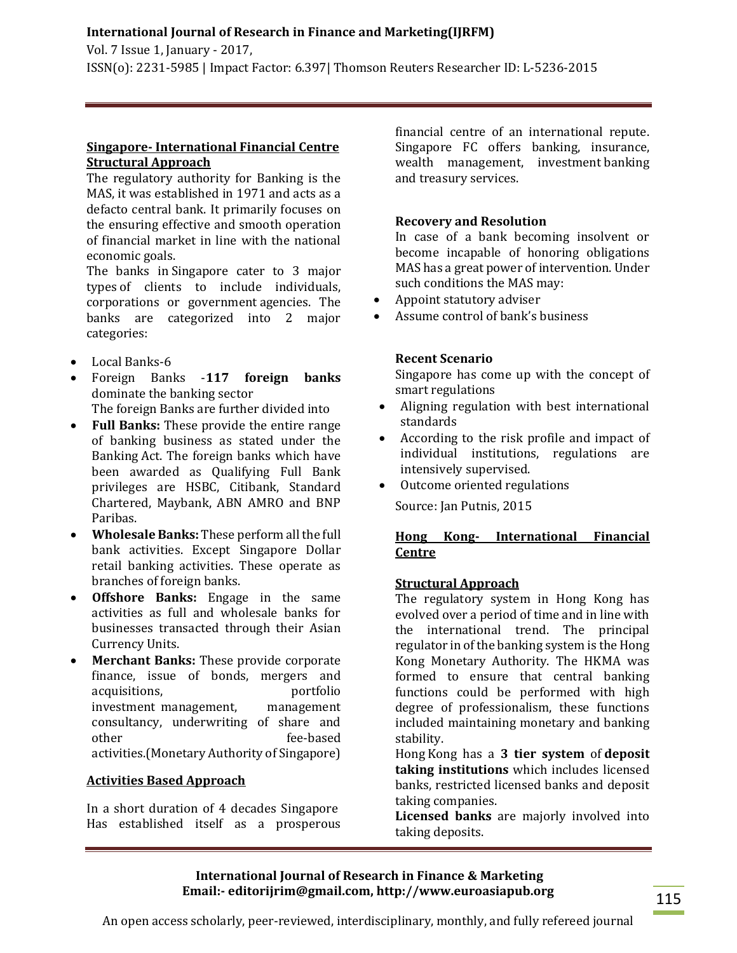Vol. 7 Issue 1, January - 2017, ISSN(o): 2231-5985 | Impact Factor: 6.397| Thomson Reuters Researcher ID: L-5236-2015

## **Singapore- International Financial Centre Structural Approach**

The regulatory authority for Banking is the MAS, it was established in 1971 and acts as a defacto central bank. It primarily focuses on the ensuring effective and smooth operation of financial market in line with the national economic goals.

The banks in Singapore cater to 3 major types of clients to include individuals, corporations or government agencies. The banks are categorized into 2 major categories:

- Local Banks-6
- Foreign Banks -**117 foreign banks** dominate the banking sector The foreign Banks are further divided into
- **Full Banks:** These provide the entire range of banking business as stated under the Banking.Act. The foreign banks which have been awarded as Qualifying Full Bank privileges are HSBC, Citibank, Standard Chartered, Maybank, ABN AMRO and BNP Paribas.
- **Wholesale Banks:** These perform all the full bank activities. Except Singapore Dollar retail banking activities. These operate as branches of foreign banks.
- **Offshore Banks:** Engage in the same activities as full and wholesale banks for businesses transacted through their Asian Currency Units.
- **Merchant Banks:** These provide corporate finance, issue of bonds, mergers and acquisitions, portfolio investment management, management consultancy, underwriting of share and other fee-based activities.(Monetary Authority of Singapore)

# **Activities Based Approach**

In a short duration of 4 decades Singapore. Has established itself as a prosperous financial centre of an international repute. Singapore FC offers banking, insurance, wealth management, investment banking and treasury services.

## **Recovery and Resolution**

In case of a bank becoming insolvent or become incapable of honoring obligations MAS has a great power of intervention. Under such conditions the MAS may:

- Appoint statutory adviser
- Assume control of bank's business

## **Recent Scenario**

Singapore has come up with the concept of smart regulations

- Aligning regulation with best international standards
- According to the risk profile and impact of individual institutions, regulations are intensively supervised.
- Outcome oriented regulations

Source: Jan Putnis, 2015

# **Hong Kong- International Financial Centre**

# **Structural Approach**

The regulatory system in Hong Kong has evolved over a period of time and in line with the international trend. The principal regulator in of the banking system is the Hong Kong Monetary Authority. The HKMA was formed to ensure that central banking functions could be performed with high degree of professionalism, these functions included maintaining monetary and banking stability.

Hong Kong has a 3 tier system of deposit **taking institutions** which includes licensed banks, restricted licensed banks and deposit taking companies.

**Licensed banks** are majorly involved into taking deposits.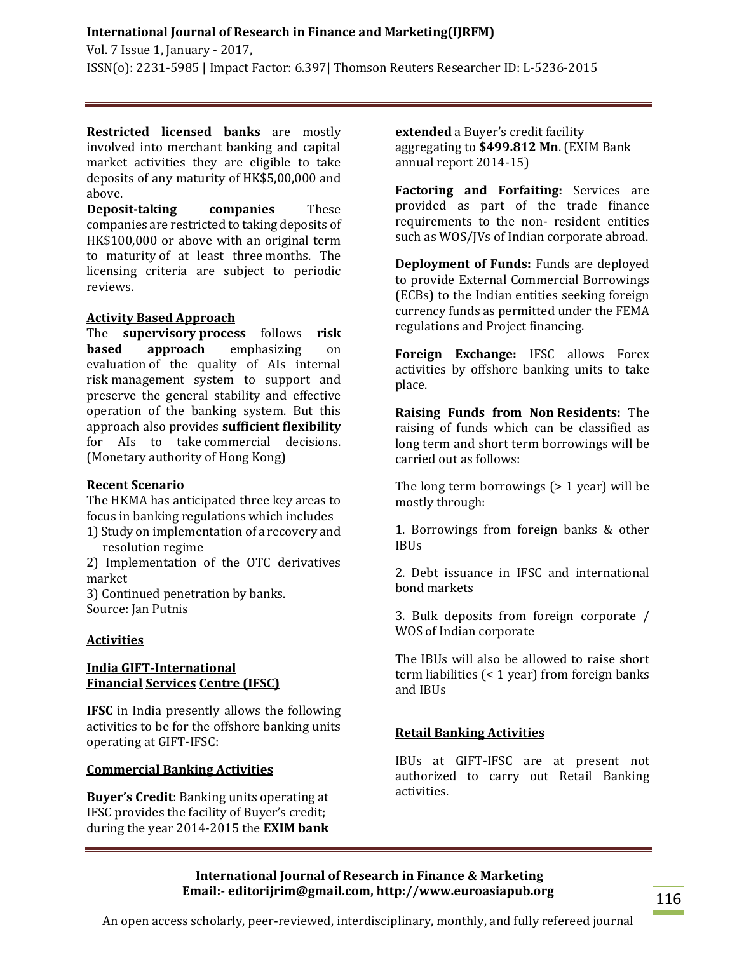Vol. 7 Issue 1, January - 2017, ISSN(o): 2231-5985 | Impact Factor: 6.397| Thomson Reuters Researcher ID: L-5236-2015

**Restricted licensed banks** are mostly involved into merchant banking and capital market activities they are eligible to take deposits of any maturity of HK\$5,00,000 and above.

**Deposit-taking companies** These companies are restricted to taking deposits of HK\$100,000 or above with an original term to maturity of at least three months. The licensing criteria are subject to periodic reviews.

#### **Activity Based Approach**

The **supervisory.process** follows **risk based approach** emphasizing on evaluation of the quality of AIs internal risk management system to support and preserve the general stability and effective operation of the banking system. But this approach also provides **sufficient flexibility** for AIs to take.commercial decisions. (Monetary authority of Hong Kong)

#### **Recent Scenario**

The HKMA has anticipated three key areas to focus in banking regulations which includes 1) Study on implementation of a recovery and

resolution regime 2) Implementation of the OTC derivatives market

3) Continued penetration by banks. Source: Jan Putnis

#### **Activities**

## **India GIFT-International Financial Services Centre (IFSC)**

**IFSC** in India presently allows the following activities to be for the offshore banking units operating at GIFT-IFSC:

#### **Commercial Banking Activities**

**Buyer's Credit**: Banking units operating at IFSC provides the facility of Buyer's credit; during the year 2014-2015 the **EXIM bank**  **extended** a Buyer's credit facility aggregating to **\$499.812 Mn**. (EXIM Bank annual report 2014-15)

**Factoring and Forfaiting:** Services are provided as part of the trade finance requirements to the non- resident entities such as WOS/JVs of Indian corporate abroad.

**Deployment of Funds:** Funds are deployed to provide External Commercial Borrowings (ECBs) to the Indian entities seeking foreign currency funds as permitted under the FEMA regulations and Project financing.

**Foreign Exchange:** IFSC allows Forex activities by offshore banking units to take place.

**Raising Funds from Non Residents:** The raising of funds which can be classified as long term and short term borrowings will be carried out as follows:

The long term borrowings  $(> 1$  year) will be mostly through:

1. Borrowings from foreign banks & other IBUs

2. Debt issuance in IFSC and international bond markets

3. Bulk deposits from foreign corporate / WOS of Indian corporate

The IBUs will also be allowed to raise short term liabilities (< 1 year) from foreign banks and IBUs

#### **Retail Banking Activities**

IBUs at GIFT-IFSC are at present not authorized to carry out Retail Banking activities.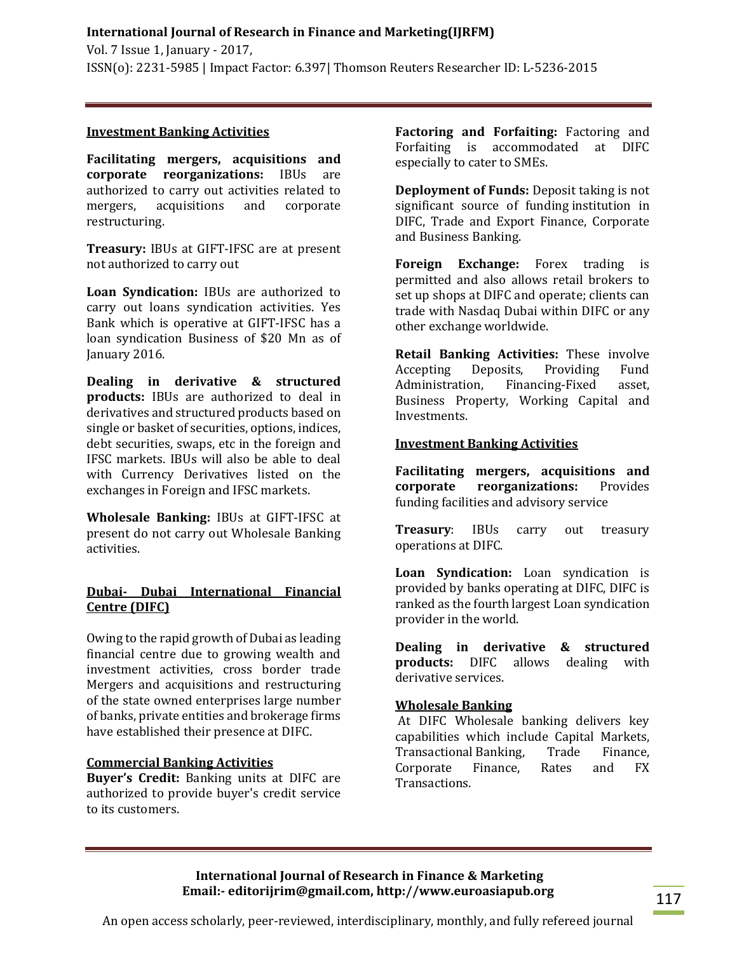## **Investment Banking Activities**

**Facilitating mergers, acquisitions and corporate reorganizations:** IBUs are authorized to carry out activities related to mergers, acquisitions and corporate restructuring.

**Treasury:** IBUs at GIFT-IFSC are at present not authorized to carry out

**Loan Syndication:** IBUs are authorized to carry out loans syndication activities. Yes Bank which is operative at GIFT-IFSC has a loan syndication Business of \$20 Mn as of January 2016.

**Dealing in derivative & structured products:** IBUs are authorized to deal in derivatives and structured products based on single or basket of securities, options, indices, debt securities, swaps, etc in the foreign and IFSC markets. IBUs will also be able to deal with Currency Derivatives listed on the exchanges in Foreign and IFSC markets.

**Wholesale Banking:** IBUs at GIFT-IFSC at present do not carry out Wholesale Banking activities.

# **Dubai- Dubai International Financial Centre (DIFC)**

Owing to the rapid growth of Dubai as leading financial centre due to growing wealth and investment activities, cross border trade Mergers and acquisitions and restructuring of the state owned enterprises large number of banks, private entities and brokerage firms have established their presence at DIFC.

## **Commercial Banking Activities**

**Buyer's Credit:** Banking units at DIFC are authorized to provide buyer's credit service to its customers.

**Factoring and Forfaiting:** Factoring and Forfaiting is accommodated at DIFC especially to cater to SMEs.

**Deployment of Funds:** Deposit taking is not significant source of funding institution in DIFC, Trade and Export Finance, Corporate and Business Banking.

**Foreign Exchange:** Forex trading is permitted and also allows retail brokers to set up shops at DIFC and operate; clients can trade with Nasdaq Dubai within DIFC or any other exchange worldwide.

**Retail Banking Activities:** These involve Accepting Deposits, Providing Fund Administration, Financing-Fixed asset, Business Property, Working Capital and Investments.

## **Investment Banking Activities**

**Facilitating mergers, acquisitions and corporate reorganizations:** Provides funding facilities and advisory service

**Treasury**: IBUs carry out treasury operations at DIFC.

**Loan Syndication:** Loan syndication is provided by banks operating at DIFC, DIFC is ranked as the fourth largest Loan syndication provider in the world.

**Dealing in derivative & structured products:** DIFC allows dealing with derivative services.

# **Wholesale Banking**

At DIFC Wholesale banking delivers key capabilities which include Capital Markets, Transactional Banking, Trade Finance, Corporate Finance, Rates and FX Transactions.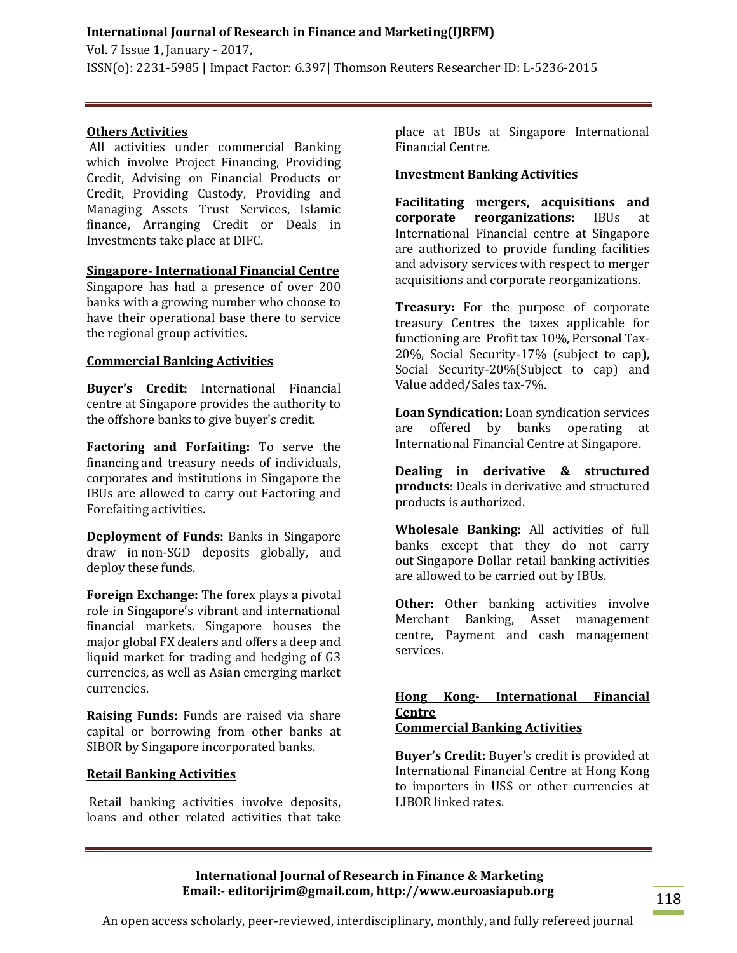Vol. 7 Issue 1, January - 2017, ISSN(o): 2231-5985 | Impact Factor: 6.397| Thomson Reuters Researcher ID: L-5236-2015

## **Others Activities**

All activities under commercial Banking which involve Project Financing, Providing Credit, Advising on Financial Products or Credit, Providing Custody, Providing and Managing Assets Trust Services, Islamic finance, Arranging Credit or Deals in Investments take place at DIFC.

## **Singapore- International Financial Centre**

Singapore has had a presence of over 200 banks with a growing number who choose to have their operational base there to service the regional group activities.

## **Commercial Banking Activities**

**Buyer's Credit:** International Financial centre at Singapore provides the authority to the offshore banks to give buyer's credit.

**Factoring and Forfaiting:** To serve the financing.and treasury needs of individuals, corporates and institutions in Singapore the IBUs are allowed to carry out Factoring and Forefaiting activities.

**Deployment of Funds:** Banks in Singapore draw in non-SGD deposits globally, and deploy these funds.

**Foreign Exchange:** The forex plays a pivotal role in Singapore's vibrant and international financial markets. Singapore houses the major global.FX dealers and offers a deep and liquid market for trading and hedging of G3 currencies, as well as Asian emerging market currencies.

**Raising Funds:** Funds are raised via share capital or borrowing from other banks at SIBOR by Singapore incorporated banks.

#### **Retail Banking Activities**

Retail banking activities involve deposits, loans and other related activities that take place at IBUs at Singapore International Financial Centre.

#### **Investment Banking Activities**

**Facilitating mergers, acquisitions and corporate reorganizations:** IBUs at International Financial centre at Singapore are authorized to provide funding facilities and advisory services with respect to merger acquisitions and corporate reorganizations.

**Treasury:** For the purpose of corporate treasury Centres the taxes applicable for functioning are Profit tax 10%, Personal Tax-20%, Social Security-17% (subject to cap), Social Security-20%(Subject to cap) and Value added/Sales tax-7%.

**Loan Syndication:** Loan syndication services are offered by banks operating at International Financial Centre at Singapore.

**Dealing in derivative & structured products:** Deals in derivative and structured products is authorized.

**Wholesale Banking:** All activities of full banks except that they do not carry out Singapore Dollar retail banking activities are allowed to be carried out by IBUs.

**Other:** Other banking activities involve Merchant Banking, Asset management centre, Payment and cash management services.

#### **Hong Kong- International Financial Centre Commercial Banking Activities**

**Buyer's Credit:** Buyer's credit is provided at International Financial Centre at Hong Kong to importers in US\$ or other currencies at LIBOR linked rates.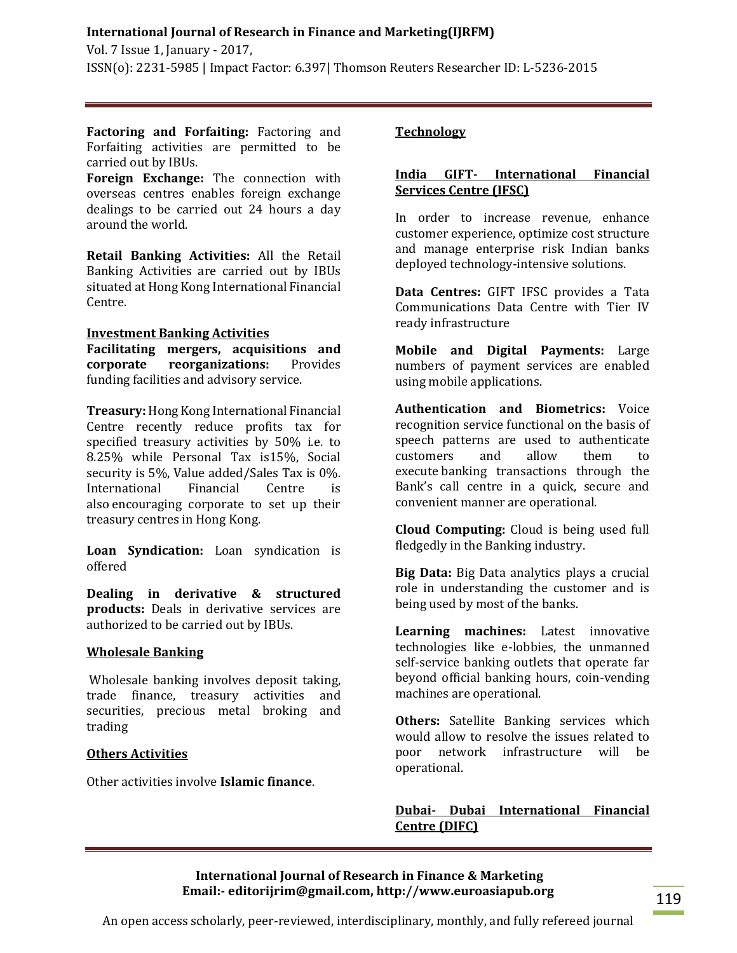Vol. 7 Issue 1, January - 2017, ISSN(o): 2231-5985 | Impact Factor: 6.397| Thomson Reuters Researcher ID: L-5236-2015

**Factoring and Forfaiting:** Factoring and Forfaiting activities are permitted to be carried out by IBUs.

**Foreign Exchange:** The connection with overseas centres enables foreign exchange dealings to be carried out 24 hours a day around the world.

**Retail Banking Activities:** All the Retail Banking Activities are carried out by IBUs situated at Hong Kong International Financial Centre.

#### **Investment Banking Activities**

**Facilitating mergers, acquisitions and corporate reorganizations:** Provides funding facilities and advisory service.

**Treasury:** Hong Kong International Financial Centre recently reduce profits tax for specified treasury activities by 50% i.e. to 8.25% while Personal Tax is15%, Social security is 5%, Value added/Sales Tax is 0%. International Financial Centre is also encouraging corporate to set up their treasury centres in Hong Kong.

**Loan Syndication:** Loan syndication is offered

**Dealing in derivative & structured products:** Deals in derivative services are authorized to be carried out by IBUs.

#### **Wholesale Banking**

Wholesale banking involves deposit taking, trade finance, treasury activities and securities, precious metal broking and trading

# **Others Activities**

Other activities involve **Islamic finance**.

# **Technology**

## **India GIFT- International Financial Services Centre (IFSC)**

In order to increase revenue, enhance customer experience, optimize cost structure and manage enterprise risk Indian banks deployed technology-intensive solutions.

**Data Centres:** GIFT IFSC provides a Tata Communications Data Centre with Tier IV ready infrastructure

**Mobile and Digital Payments:** Large numbers of payment services are enabled using mobile applications.

**Authentication and Biometrics:** Voice recognition service functional on the basis of speech patterns are used to authenticate customers and allow them to execute banking transactions through the Bank's call centre in a quick, secure and convenient manner are operational.

**Cloud Computing:** Cloud is being used full fledgedly in the Banking industry.

**Big Data:** Big Data analytics plays a crucial role in understanding the customer and is being used by most of the banks.

**Learning machines:** Latest innovative technologies like e-lobbies, the unmanned self-service banking outlets that operate far beyond official banking hours, coin-vending machines are operational.

**Others:** Satellite Banking services which would allow to resolve the issues related to poor network infrastructure will be operational.

# **Dubai- Dubai International Financial Centre (DIFC)**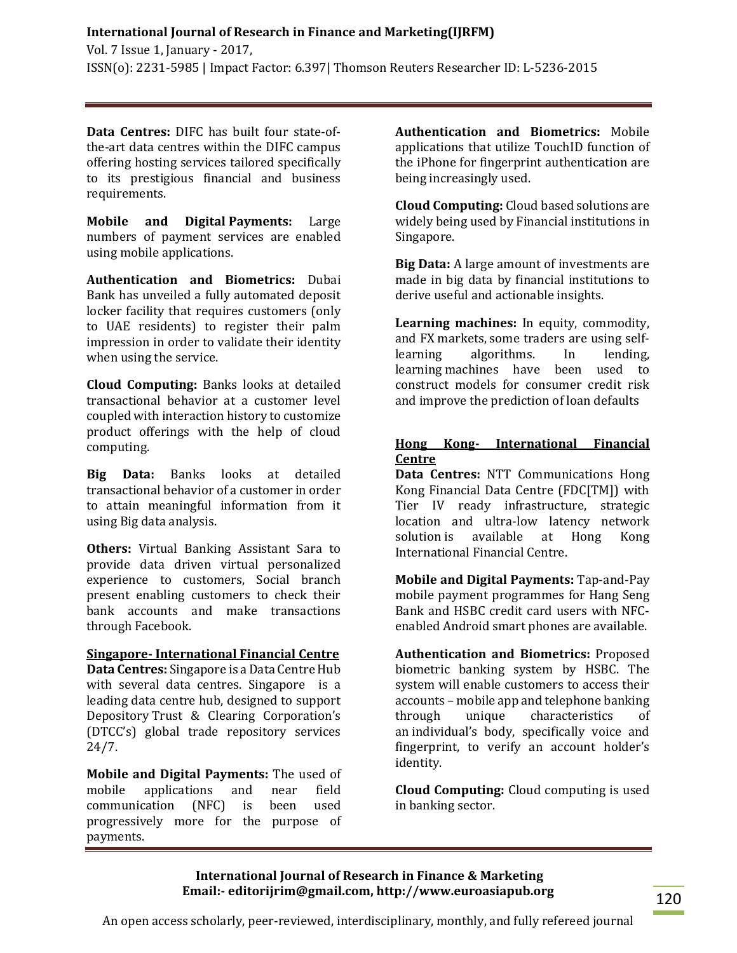Vol. 7 Issue 1, January - 2017, ISSN(o): 2231-5985 | Impact Factor: 6.397| Thomson Reuters Researcher ID: L-5236-2015

**Data Centres:** DIFC has built four state-ofthe-art data centres within the DIFC campus offering hosting services tailored specifically to its prestigious financial and business requirements.

**Mobile and Digital Payments:** Large numbers of payment services are enabled using mobile applications.

**Authentication and Biometrics:** Dubai Bank has unveiled a fully automated deposit locker facility that requires customers (only to UAE residents) to register their palm impression in order to validate their identity when using the service.

**Cloud Computing:** Banks looks at detailed transactional behavior at a customer level coupled with interaction history to customize product offerings with the help of cloud computing.

**Big Data:** Banks looks at detailed transactional behavior of a customer in order to attain meaningful information from it using Big data analysis.

**Others:** Virtual Banking Assistant Sara to provide data driven virtual personalized experience to customers, Social branch present enabling customers to check their bank accounts and make transactions through Facebook.

#### **Singapore- International Financial Centre**

**Data Centres:** Singapore is a Data Centre Hub with several data centres. Singapore is a leading data centre hub, designed to support Depository.Trust & Clearing Corporation's (DTCC's) global trade repository services 24/7.

**Mobile and Digital Payments:** The used of mobile applications and near field communication (NFC) is been used progressively more for the purpose of payments.

**Authentication and Biometrics:** Mobile applications that utilize TouchID function of the iPhone for fingerprint authentication are being increasingly used.

**Cloud Computing:** Cloud based solutions are widely being used by Financial institutions in Singapore.

**Big Data:** A large amount of investments are made in big data by financial institutions to derive useful and actionable insights.

**Learning machines:** In equity, commodity, and FX markets, some traders are using selflearning algorithms. In lending, learning.machines have been used to construct models for consumer credit risk and improve the prediction of loan defaults

# **Hong Kong- International Financial Centre**

**Data Centres:** NTT Communications Hong Kong Financial Data Centre (FDC[TM]) with Tier IV ready infrastructure, strategic location and ultra-low latency network solution is available at Hong Kong International Financial Centre.

**Mobile and Digital Payments:** Tap-and-Pay mobile payment programmes for Hang Seng Bank and HSBC credit card users with NFCenabled Android smart phones are available.

**Authentication and Biometrics:** Proposed biometric banking system by HSBC. The system will enable customers to access their accounts – mobile app and telephone banking through unique characteristics of an individual's body, specifically voice and fingerprint, to verify an account holder's identity.

**Cloud Computing:** Cloud computing is used in banking sector.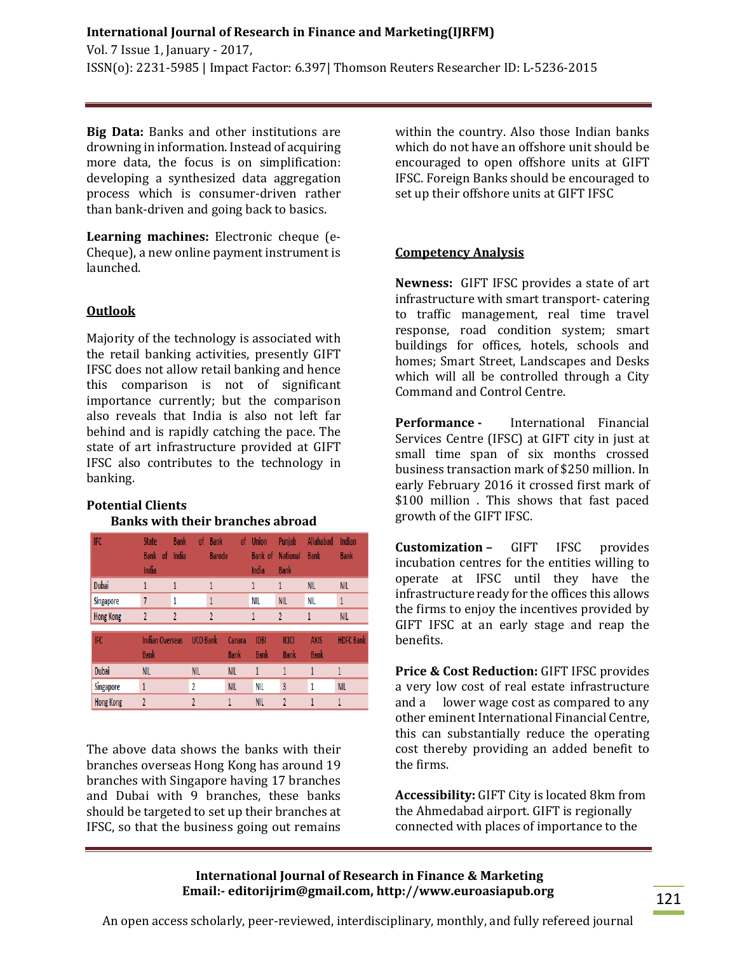**Big Data:** Banks and other institutions are drowning in information. Instead of acquiring more data, the focus is on simplification: developing a synthesized data aggregation process which is consumer-driven rather than bank-driven and going back to basics.

**Learning machines:** Electronic cheque (e-Cheque), a new online payment instrument is launched.

# **Outlook**

Majority of the technology is associated with the retail banking activities, presently GIFT IFSC does not allow retail banking and hence this comparison is not of significant importance currently; but the comparison also reveals that India is also not left far behind and is rapidly catching the pace. The state of art infrastructure provided at GIFT IFSC also contributes to the technology in banking.

# **Potential Clients Banks with their branches abroad**

| <b>IFC</b>       | <b>State</b><br><b>Bank</b><br>- of<br>India | <b>Bank</b><br>India | of              | <b>Bank</b><br>of<br><b>Baroda</b> | <b>Union</b><br>Bank of<br>India | Punjab<br><b>National</b><br><b>Bank</b> | Allahabad<br><b>Bank</b>   | Indian<br><b>Bank</b> |
|------------------|----------------------------------------------|----------------------|-----------------|------------------------------------|----------------------------------|------------------------------------------|----------------------------|-----------------------|
| Dubai            |                                              |                      |                 |                                    | 1                                | 1                                        | <b>NIL</b>                 | <b>NIL</b>            |
| Singapore        | 7                                            |                      | 1               |                                    | NIL                              | <b>NIL</b>                               | NIL                        | $\mathbf{1}$          |
| <b>Hong Kong</b> | 2                                            | $\overline{2}$       | $\overline{2}$  |                                    | 1                                | $\overline{2}$                           | 1                          | <b>NIL</b>            |
| IFC              | <b>Indian Overseas</b><br><b>Bank</b>        |                      | <b>UCO Bank</b> | Canara<br><b>Bank</b>              | <b>IDBI</b><br><b>Bank</b>       | <b>ICICI</b><br>Bank                     | <b>AXIS</b><br><b>Bank</b> | <b>HDFC Bank</b>      |
| <b>Dubai</b>     | <b>NIL</b>                                   |                      | <b>NIL</b>      | <b>NIL</b>                         | 1                                | 1                                        | 1                          | 1                     |
| Singapore        | 1                                            |                      | 2               | <b>NIL</b>                         | <b>NIL</b>                       | 3                                        | 1                          | <b>NIL</b>            |
| <b>Hong Kong</b> | 2                                            |                      | 2               | 1                                  | <b>NIL</b>                       | $\overline{2}$                           | 1                          | 1                     |

The above data shows the banks with their branches overseas Hong Kong has around 19 branches with Singapore having 17 branches and Dubai with 9 branches, these banks should be targeted to set up their branches at IFSC, so that the business going out remains within the country. Also those Indian banks which do not have an offshore unit should be encouraged to open offshore units at GIFT IFSC. Foreign Banks should be encouraged to set up their offshore units at GIFT IFSC

# **Competency Analysis**

**Newness:** GIFT IFSC provides a state of art infrastructure with smart transport- catering to traffic management, real time travel response, road condition system; smart buildings for offices, hotels, schools and homes; Smart Street, Landscapes and Desks which will all be controlled through a City Command and Control Centre.

**Performance -** International Financial Services Centre (IFSC) at GIFT city in just at small time span of six months crossed business transaction mark of \$250 million. In early February 2016 it crossed first mark of \$100 million . This shows that fast paced growth of the GIFT IFSC.

**Customization –** GIFT IFSC provides incubation centres for the entities willing to operate at IFSC until they have the infrastructure ready for the offices this allows the firms to enjoy the incentives provided by GIFT IFSC at an early stage and reap the benefits.

**Price & Cost Reduction:** GIFT IFSC provides a very low cost of real estate infrastructure and a lower wage cost as compared to any other eminent International Financial Centre, this can substantially reduce the operating cost thereby providing an added benefit to the firms.

**Accessibility:** GIFT City is located 8km from the Ahmedabad airport. GIFT is regionally connected with places of importance to the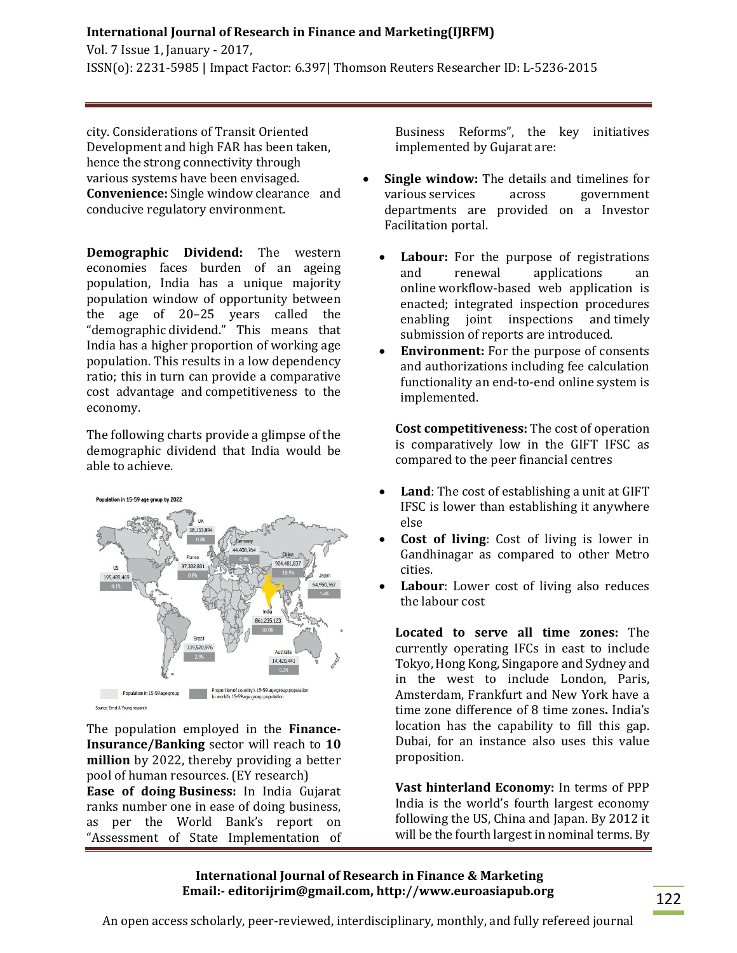Vol. 7 Issue 1, January - 2017, ISSN(o): 2231-5985 | Impact Factor: 6.397| Thomson Reuters Researcher ID: L-5236-2015

city. Considerations of Transit Oriented Development and high FAR has been taken, hence the strong connectivity through various systems have been envisaged. **Convenience:** Single window clearance and conducive regulatory environment.

**Demographic Dividend:** The western economies faces burden of an ageing population, India has a unique majority population window of opportunity between the age of 20–25 years called the "demographic dividend." This means that India has a higher proportion of working age population. This results in a low dependency ratio; this in turn can provide a comparative cost advantage and competitiveness to the economy.

The following charts provide a glimpse of the demographic dividend that India would be able to achieve.



The population employed in the **Finance-Insurance/Banking** sector will reach to **10 million** by 2022, thereby providing a better pool of human resources. (EY research) **Ease of doing.Business:** In India Gujarat ranks number one in ease of doing business, as per the World Bank's report on "Assessment of State Implementation of Business Reforms", the key initiatives implemented by Gujarat are:

- **Single window:** The details and timelines for various.services across government departments are provided on a Investor Facilitation portal.
	- **Labour:** For the purpose of registrations and renewal applications an online workflow-based web application is enacted; integrated inspection procedures enabling joint inspections and timely submission of reports are introduced.
	- **Environment:** For the purpose of consents and authorizations including fee calculation functionality an end-to-end online system is implemented.

**Cost competitiveness:** The cost of operation is comparatively low in the GIFT IFSC as compared to the peer financial centres

- **Land**: The cost of establishing a unit at GIFT IFSC is lower than establishing it anywhere else
- **Cost of living**: Cost of living is lower in Gandhinagar as compared to other Metro cities.
- **Labour**: Lower cost of living also reduces the labour cost

**Located to serve all time zones:** The currently operating IFCs in east to include Tokyo, Hong Kong, Singapore.and Sydney and in the west to include London, Paris, Amsterdam, Frankfurt and New York have a time zone difference of 8 time zones**.** India's location has the capability to fill this gap. Dubai, for an instance also uses this value proposition.

**Vast hinterland Economy:** In terms of PPP India is the world's fourth largest economy following the US, China and Japan. By 2012 it will be the fourth largest in nominal terms. By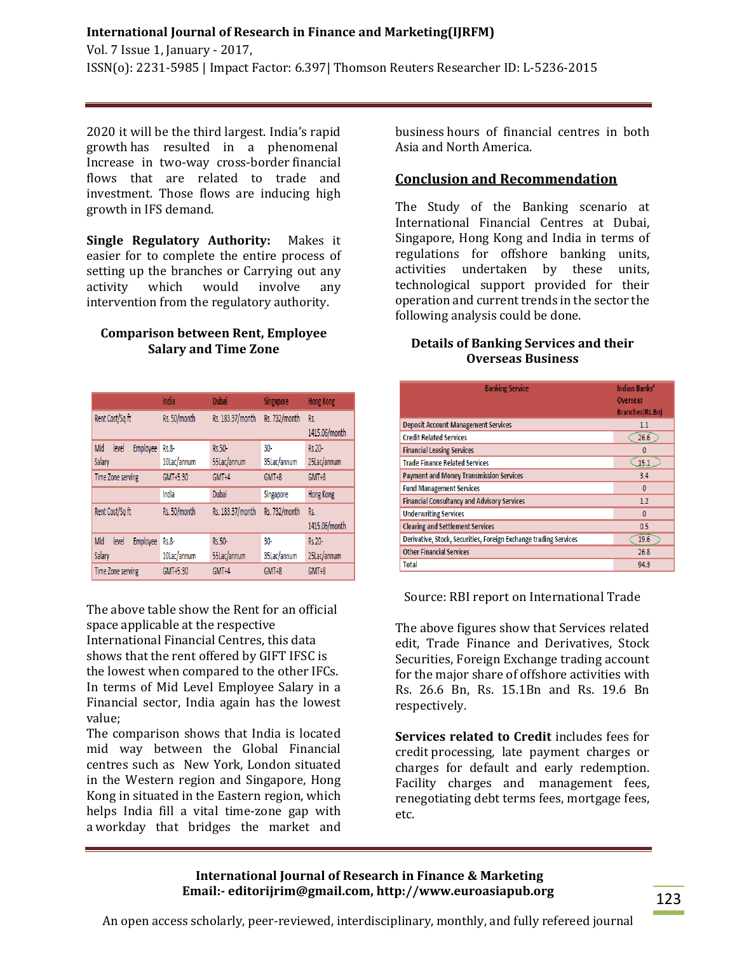Vol. 7 Issue 1, January - 2017, ISSN(o): 2231-5985 | Impact Factor: 6.397| Thomson Reuters Researcher ID: L-5236-2015

2020 it will be the third largest. India's rapid growth has resulted in a phenomenal Increase in two-way cross-border financial flows that are related to trade and investment. Those flows are inducing high growth in IFS demand.

**Single Regulatory Authority:** Makes it easier for to complete the entire process of setting up the branches or Carrying out any activity which would involve any intervention from the regulatory authority.

#### **Comparison between Rent, Employee Salary and Time Zone**

|                                 | India        | <b>Dubai</b>     | Singapore     | <b>Hong Kong</b> |
|---------------------------------|--------------|------------------|---------------|------------------|
| Rent Cost/Sq ft                 | Rs. 50/month | Rs. 183.37/month | Rs. 732/month | Rs.              |
|                                 |              |                  |               | 1415.06/month    |
| Mid<br><b>Employee</b><br>level | Rs.8-        | Rs.50-           | $30-$         | Rs.20-           |
| Salary                          | 10Lac/annum  | 55Lac/annum      | 35Lac/annum   | 25Lac/annum      |
| <b>Time Zone serving</b>        | GMT+5:30     | GMT+4            | GMT+8         | GMT+8            |
|                                 | India        | Dubai            | Singapore     | <b>Hong Kong</b> |
| Rent Cost/Saft                  | Rs. 50/month | Rs. 183.37/month | Rs. 732/month | Rs.              |
|                                 |              |                  |               | 1415.06/month    |
| Mid<br><b>Employee</b><br>level | Rs.8-        | Rs.50-           | $30 -$        | Rs.20-           |
| Salary                          | 10Lac/annum  | 55Lac/annum      | 35Lac/annum   | 25Lac/annum      |
| <b>Time Zone serving</b>        | GMT+5:30     | GMT+4            | GMT+8         | GMT+8            |

The above table show the Rent for an official space applicable at the respective International Financial Centres, this data shows that the rent offered by GIFT IFSC is the lowest when compared to the other IFCs. In terms of Mid Level Employee Salary in a Financial sector, India again has the lowest value;

The comparison shows that India is located mid way between the Global Financial centres such as New York, London situated in the Western region and Singapore, Hong Kong in situated in the Eastern region, which helps India fill a vital time-zone gap with a workday that bridges the market and

business hours of financial centres in both Asia and North America.

# **Conclusion and Recommendation**

The Study of the Banking scenario at International Financial Centres at Dubai, Singapore, Hong Kong and India in terms of regulations for offshore banking units, activities undertaken by these units, technological support provided for their operation and current trends in the sector the following analysis could be done.

# **Details of Banking Services and their Overseas Business**

| <b>Banking Service</b>                                           | <b>Indian Banks'</b><br><b>Overseas</b><br>Branches(Rs.Bn) |
|------------------------------------------------------------------|------------------------------------------------------------|
| <b>Deposit Account Management Services</b>                       | 1.1                                                        |
| <b>Credit Related Services</b>                                   | 26.6                                                       |
| <b>Financial Leasing Services</b>                                | 0                                                          |
| <b>Trade Finance Related Services</b>                            | 15.1                                                       |
| <b>Payment and Money Transmission Services</b>                   | 3.4                                                        |
| <b>Fund Management Services</b>                                  | $\Omega$                                                   |
| <b>Financial Consultancy and Advisory Services</b>               | 1.2                                                        |
| <b>Underwriting Services</b>                                     | $\Omega$                                                   |
| <b>Clearing and Settlement Services</b>                          | 0.5                                                        |
| Derivative, Stock, Securities, Foreign Exchange trading Services | 19.6                                                       |
| <b>Other Financial Services</b>                                  | 26.8                                                       |
| <b>Total</b>                                                     | 94.3                                                       |

Source: RBI report on International Trade

The above figures show that Services related edit, Trade Finance and Derivatives, Stock Securities, Foreign Exchange trading account for the major share of offshore activities with Rs. 26.6 Bn, Rs. 15.1Bn and Rs. 19.6 Bn respectively.

**Services related to Credit** includes fees for credit processing, late payment charges or charges for default and early redemption. Facility charges and management fees, renegotiating debt terms fees, mortgage fees, etc.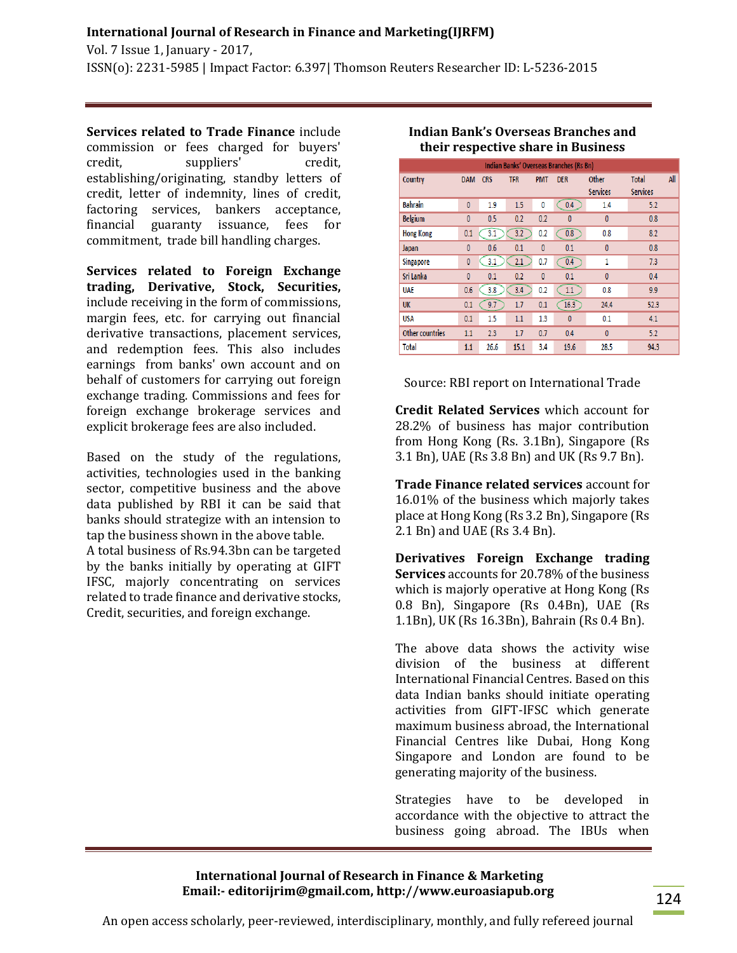Vol. 7 Issue 1, January - 2017, ISSN(o): 2231-5985 | Impact Factor: 6.397| Thomson Reuters Researcher ID: L-5236-2015

**USA** 

**Total** 

Other countries

**Services related to Trade Finance** include commission or fees charged for buyers' credit, suppliers' credit, establishing/originating, standby letters of credit, letter of indemnity, lines of credit, factoring services, bankers acceptance, financial guaranty issuance, fees for commitment, trade bill handling charges.

**Services related to Foreign Exchange trading, Derivative, Stock, Securities,**  include receiving in the form of commissions, margin fees, etc. for carrying out financial derivative transactions, placement services, and redemption fees. This also includes earnings from banks' own account and on behalf of customers for carrying out foreign exchange trading. Commissions and fees for foreign exchange brokerage services and explicit brokerage fees are also included.

Based on the study of the regulations, activities, technologies used in the banking sector, competitive business and the above data published by RBI it can be said that banks should strategize with an intension to tap the business shown in the above table. A total business of Rs.94.3bn can be targeted by the banks initially by operating at GIFT IFSC, majorly concentrating on services related to trade finance and derivative stocks, Credit, securities, and foreign exchange.

#### **their respective share in Business** Indian Banks' Overseas Branches (Rs Bn) Country DAM CRS **TFR** PMT DER Total All Other Services **Services**  $\overline{C}$ 0.4 **Bahrain**  $1.5$  $\overline{0}$  $\mathbf{0}$  $1.9$  $1.4\,$  $5.2$ **Belgium**  $\pmb{0}$  $0.5$  $0.2$  $0.2$  $\overline{0}$  $\pmb{0}^ 0.8$ **Hong Kong**  $0.1$  $\bigcirc$  $\overline{3.2}$  $0.2$  $\overline{$  0.8  $0.8$  $8.2$ Japan 0  $0.6$  $0.1$  $\mathbf{0}$  $0.1$  $\pmb{0}$  $0.8<sub>0</sub>$ Singapore  $\mathbf{0}$  $3.1$  $\odot$  $0.7$  $\bigcirc$  0.4  $7.3$  $\mathbf{1}$ Sri Lanka  $0.2$  $\overline{0}$  $0.1$  $\pmb{0}$  $0.4$  $\mathbf{0}$  $0.1\,$ **UAE**  $(3.8)$  $\bigcirc$ 3.4  $\overline{C}$  $9.9$  $0.6$  $0.2$  $0.8$  $9.7$ **UK**  $0.1$  $1.7$  $0.1$  $\overline{16.3}$ 24.4  $52.3$

 $0.1$ 

 $\pmb{0}^-$ 

28.5

 $\mathbf{0}$ 

 $0.4$ 

19.6

 $4.1$ 

 $5.2$ 

94.3

**Indian Bank's Overseas Branches and** 

Source: RBI report on International Trade

 $1.1\,$  $1.3$ 

 $1.7\,$  $0.7$ 

 $15.1$  $3.4$ 

 $0.1$ 1.5

 $1.1\,$  $2.3$ 

 $1.1$ 

26.6

**Credit Related Services** which account for 28.2% of business has major contribution from Hong Kong (Rs. 3.1Bn), Singapore (Rs 3.1 Bn), UAE (Rs 3.8 Bn) and UK (Rs 9.7 Bn).

**Trade Finance related services** account for 16.01% of the business which majorly takes place at Hong Kong (Rs 3.2 Bn), Singapore (Rs 2.1 Bn) and UAE (Rs 3.4 Bn).

**Derivatives Foreign Exchange trading Services** accounts for 20.78% of the business which is majorly operative at Hong Kong (Rs 0.8 Bn), Singapore (Rs 0.4Bn), UAE (Rs 1.1Bn), UK (Rs 16.3Bn), Bahrain (Rs 0.4 Bn).

The above data shows the activity wise division of the business at different International Financial Centres. Based on this data Indian banks should initiate operating activities from GIFT-IFSC which generate maximum business abroad, the International Financial Centres like Dubai, Hong Kong Singapore and London are found to be generating majority of the business.

Strategies have to be developed in accordance with the objective to attract the business going abroad. The IBUs when